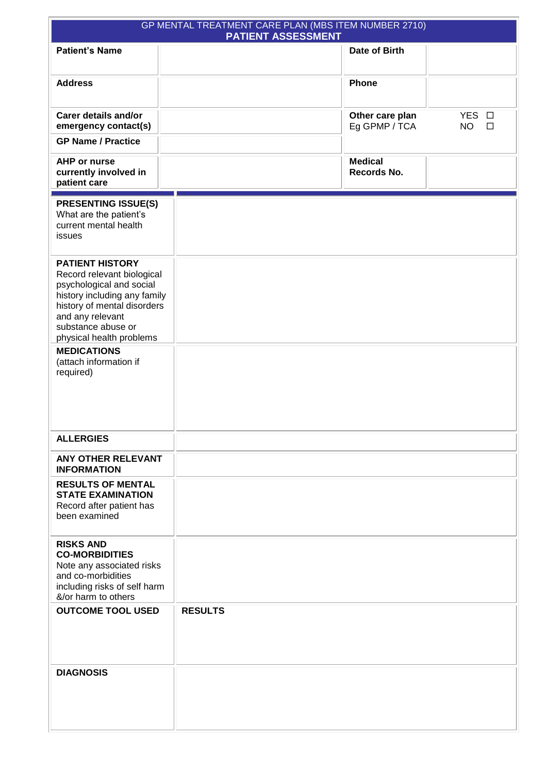| GP MENTAL TREATMENT CARE PLAN (MBS ITEM NUMBER 2710)<br><b>PATIENT ASSESSMENT</b>                                                                                                                                     |                |                                  |                              |  |  |  |  |  |
|-----------------------------------------------------------------------------------------------------------------------------------------------------------------------------------------------------------------------|----------------|----------------------------------|------------------------------|--|--|--|--|--|
| <b>Patient's Name</b>                                                                                                                                                                                                 |                | Date of Birth                    |                              |  |  |  |  |  |
| <b>Address</b>                                                                                                                                                                                                        |                | Phone                            |                              |  |  |  |  |  |
| <b>Carer details and/or</b><br>emergency contact(s)                                                                                                                                                                   |                | Other care plan<br>Eg GPMP / TCA | YES O<br><b>NO</b><br>$\Box$ |  |  |  |  |  |
| <b>GP Name / Practice</b>                                                                                                                                                                                             |                |                                  |                              |  |  |  |  |  |
| <b>AHP or nurse</b><br>currently involved in<br>patient care                                                                                                                                                          |                | <b>Medical</b><br>Records No.    |                              |  |  |  |  |  |
| <b>PRESENTING ISSUE(S)</b><br>What are the patient's<br>current mental health<br>issues                                                                                                                               |                |                                  |                              |  |  |  |  |  |
| <b>PATIENT HISTORY</b><br>Record relevant biological<br>psychological and social<br>history including any family<br>history of mental disorders<br>and any relevant<br>substance abuse or<br>physical health problems |                |                                  |                              |  |  |  |  |  |
| <b>MEDICATIONS</b><br>(attach information if<br>required)                                                                                                                                                             |                |                                  |                              |  |  |  |  |  |
| <b>ALLERGIES</b>                                                                                                                                                                                                      |                |                                  |                              |  |  |  |  |  |
| <b>ANY OTHER RELEVANT</b><br><b>INFORMATION</b>                                                                                                                                                                       |                |                                  |                              |  |  |  |  |  |
| <b>RESULTS OF MENTAL</b><br><b>STATE EXAMINATION</b><br>Record after patient has<br>been examined                                                                                                                     |                |                                  |                              |  |  |  |  |  |
| <b>RISKS AND</b><br><b>CO-MORBIDITIES</b><br>Note any associated risks<br>and co-morbidities<br>including risks of self harm<br>&/or harm to others                                                                   |                |                                  |                              |  |  |  |  |  |
| <b>OUTCOME TOOL USED</b>                                                                                                                                                                                              | <b>RESULTS</b> |                                  |                              |  |  |  |  |  |
| <b>DIAGNOSIS</b>                                                                                                                                                                                                      |                |                                  |                              |  |  |  |  |  |